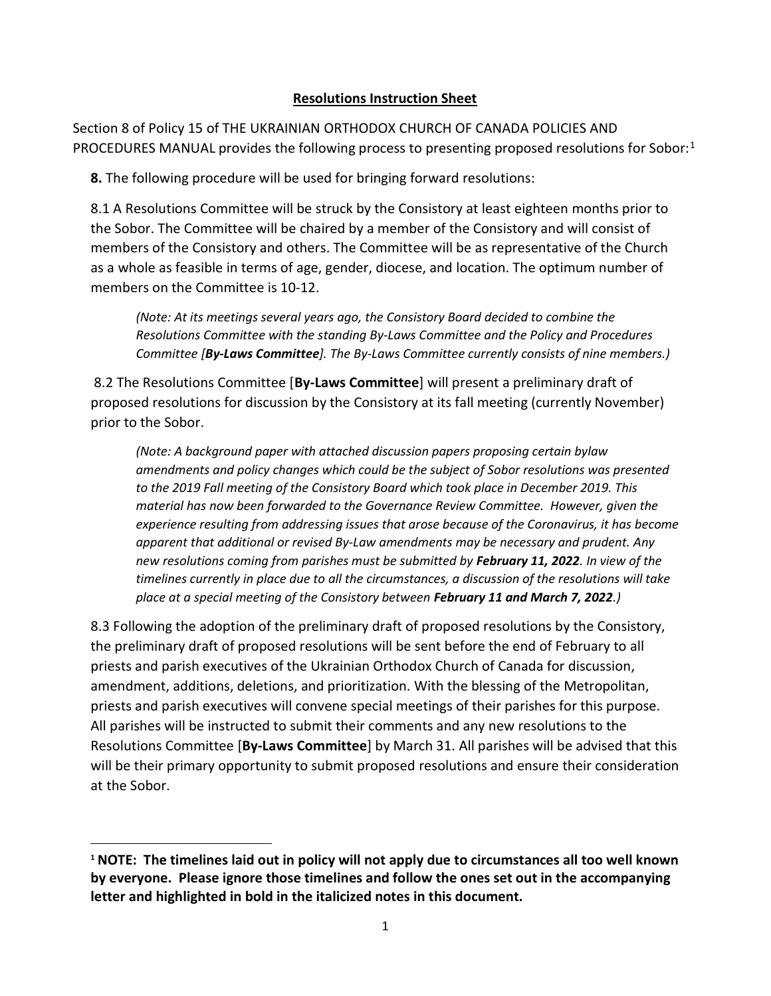## Resolutions Instruction Sheet

Section 8 of Policy 15 of THE UKRAINIAN ORTHODOX CHURCH OF CANADA POLICIES AND PROCEDURES MANUAL provides the following process to presenting proposed resolutions for Sobor:<sup>1</sup>

8. The following procedure will be used for bringing forward resolutions:

8.1 A Resolutions Committee will be struck by the Consistory at least eighteen months prior to the Sobor. The Committee will be chaired by a member of the Consistory and will consist of members of the Consistory and others. The Committee will be as representative of the Church as a whole as feasible in terms of age, gender, diocese, and location. The optimum number of members on the Committee is 10-12.

(Note: At its meetings several years ago, the Consistory Board decided to combine the Resolutions Committee with the standing By-Laws Committee and the Policy and Procedures Committee [By-Laws Committee]. The By-Laws Committee currently consists of nine members.)

 8.2 The Resolutions Committee [By-Laws Committee] will present a preliminary draft of proposed resolutions for discussion by the Consistory at its fall meeting (currently November) prior to the Sobor.

(Note: A background paper with attached discussion papers proposing certain bylaw amendments and policy changes which could be the subject of Sobor resolutions was presented to the 2019 Fall meeting of the Consistory Board which took place in December 2019. This material has now been forwarded to the Governance Review Committee. However, given the experience resulting from addressing issues that arose because of the Coronavirus, it has become apparent that additional or revised By-Law amendments may be necessary and prudent. Any new resolutions coming from parishes must be submitted by February 11, 2022. In view of the timelines currently in place due to all the circumstances, a discussion of the resolutions will take place at a special meeting of the Consistory between February 11 and March 7, 2022.)

8.3 Following the adoption of the preliminary draft of proposed resolutions by the Consistory, the preliminary draft of proposed resolutions will be sent before the end of February to all priests and parish executives of the Ukrainian Orthodox Church of Canada for discussion, amendment, additions, deletions, and prioritization. With the blessing of the Metropolitan, priests and parish executives will convene special meetings of their parishes for this purpose. All parishes will be instructed to submit their comments and any new resolutions to the Resolutions Committee [By-Laws Committee] by March 31. All parishes will be advised that this will be their primary opportunity to submit proposed resolutions and ensure their consideration at the Sobor.

<sup>1</sup> NOTE: The timelines laid out in policy will not apply due to circumstances all too well known by everyone. Please ignore those timelines and follow the ones set out in the accompanying letter and highlighted in bold in the italicized notes in this document.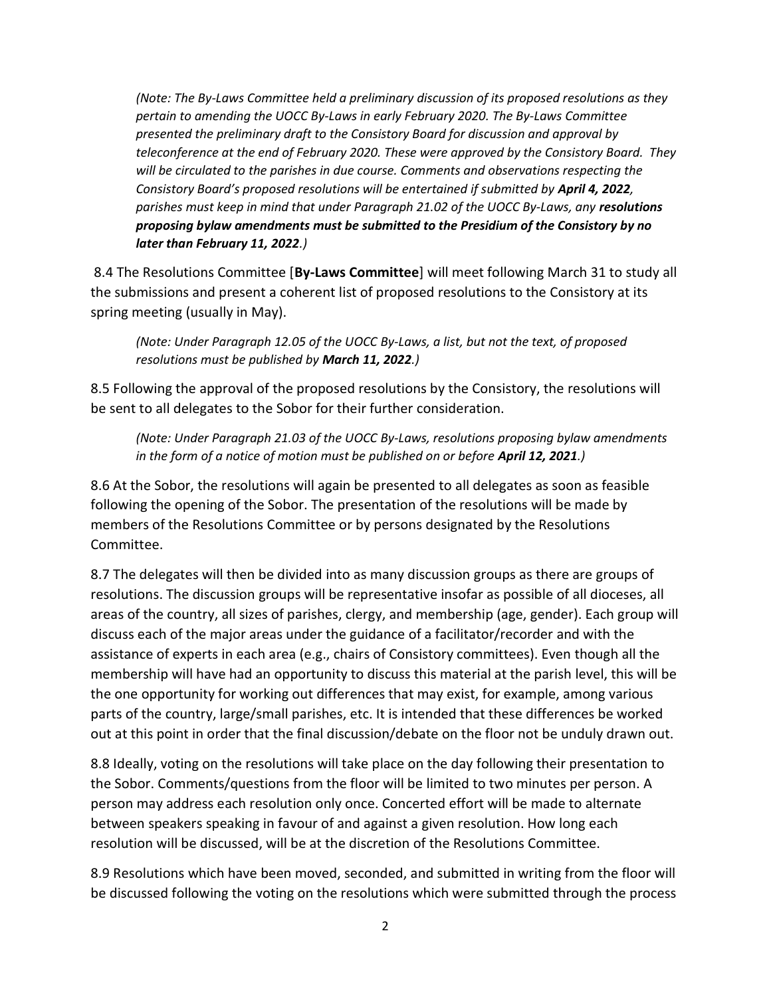(Note: The By-Laws Committee held a preliminary discussion of its proposed resolutions as they pertain to amending the UOCC By-Laws in early February 2020. The By-Laws Committee presented the preliminary draft to the Consistory Board for discussion and approval by teleconference at the end of February 2020. These were approved by the Consistory Board. They will be circulated to the parishes in due course. Comments and observations respecting the Consistory Board's proposed resolutions will be entertained if submitted by April 4, 2022, parishes must keep in mind that under Paragraph 21.02 of the UOCC By-Laws, any resolutions proposing bylaw amendments must be submitted to the Presidium of the Consistory by no later than February 11, 2022.)

8.4 The Resolutions Committee [By-Laws Committee] will meet following March 31 to study all the submissions and present a coherent list of proposed resolutions to the Consistory at its spring meeting (usually in May).

(Note: Under Paragraph 12.05 of the UOCC By-Laws, a list, but not the text, of proposed resolutions must be published by March 11, 2022.)

8.5 Following the approval of the proposed resolutions by the Consistory, the resolutions will be sent to all delegates to the Sobor for their further consideration.

(Note: Under Paragraph 21.03 of the UOCC By-Laws, resolutions proposing bylaw amendments in the form of a notice of motion must be published on or before April 12, 2021.)

8.6 At the Sobor, the resolutions will again be presented to all delegates as soon as feasible following the opening of the Sobor. The presentation of the resolutions will be made by members of the Resolutions Committee or by persons designated by the Resolutions Committee.

8.7 The delegates will then be divided into as many discussion groups as there are groups of resolutions. The discussion groups will be representative insofar as possible of all dioceses, all areas of the country, all sizes of parishes, clergy, and membership (age, gender). Each group will discuss each of the major areas under the guidance of a facilitator/recorder and with the assistance of experts in each area (e.g., chairs of Consistory committees). Even though all the membership will have had an opportunity to discuss this material at the parish level, this will be the one opportunity for working out differences that may exist, for example, among various parts of the country, large/small parishes, etc. It is intended that these differences be worked out at this point in order that the final discussion/debate on the floor not be unduly drawn out.

8.8 Ideally, voting on the resolutions will take place on the day following their presentation to the Sobor. Comments/questions from the floor will be limited to two minutes per person. A person may address each resolution only once. Concerted effort will be made to alternate between speakers speaking in favour of and against a given resolution. How long each resolution will be discussed, will be at the discretion of the Resolutions Committee.

8.9 Resolutions which have been moved, seconded, and submitted in writing from the floor will be discussed following the voting on the resolutions which were submitted through the process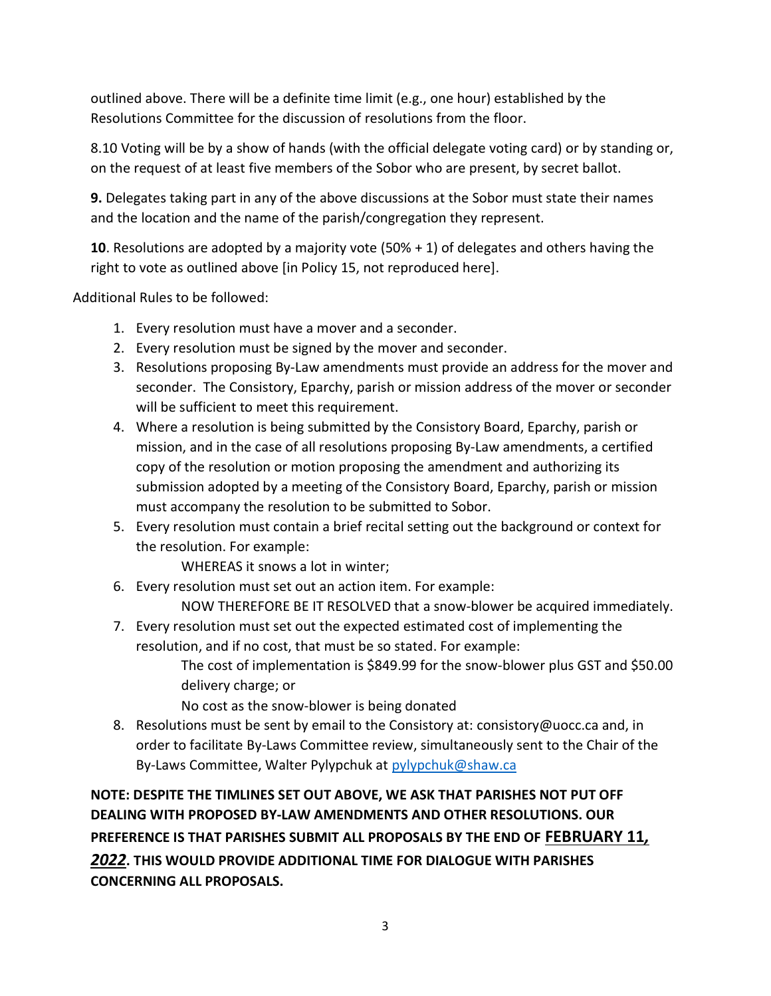outlined above. There will be a definite time limit (e.g., one hour) established by the Resolutions Committee for the discussion of resolutions from the floor.

8.10 Voting will be by a show of hands (with the official delegate voting card) or by standing or, on the request of at least five members of the Sobor who are present, by secret ballot.

9. Delegates taking part in any of the above discussions at the Sobor must state their names and the location and the name of the parish/congregation they represent.

**10**. Resolutions are adopted by a majority vote  $(50% + 1)$  of delegates and others having the right to vote as outlined above [in Policy 15, not reproduced here].

Additional Rules to be followed:

- 1. Every resolution must have a mover and a seconder.
- 2. Every resolution must be signed by the mover and seconder.
- 3. Resolutions proposing By-Law amendments must provide an address for the mover and seconder. The Consistory, Eparchy, parish or mission address of the mover or seconder will be sufficient to meet this requirement.
- 4. Where a resolution is being submitted by the Consistory Board, Eparchy, parish or mission, and in the case of all resolutions proposing By-Law amendments, a certified copy of the resolution or motion proposing the amendment and authorizing its submission adopted by a meeting of the Consistory Board, Eparchy, parish or mission must accompany the resolution to be submitted to Sobor.
- 5. Every resolution must contain a brief recital setting out the background or context for the resolution. For example:

WHEREAS it snows a lot in winter;

- 6. Every resolution must set out an action item. For example: NOW THEREFORE BE IT RESOLVED that a snow-blower be acquired immediately.
- 7. Every resolution must set out the expected estimated cost of implementing the resolution, and if no cost, that must be so stated. For example: The cost of implementation is \$849.99 for the snow-blower plus GST and \$50.00 delivery charge; or
	- No cost as the snow-blower is being donated
- 8. Resolutions must be sent by email to the Consistory at: consistory@uocc.ca and, in order to facilitate By-Laws Committee review, simultaneously sent to the Chair of the By-Laws Committee, Walter Pylypchuk at pylypchuk@shaw.ca

NOTE: DESPITE THE TIMLINES SET OUT ABOVE, WE ASK THAT PARISHES NOT PUT OFF DEALING WITH PROPOSED BY-LAW AMENDMENTS AND OTHER RESOLUTIONS. OUR PREFERENCE IS THAT PARISHES SUBMIT ALL PROPOSALS BY THE END OF FEBRUARY 11, 2022. THIS WOULD PROVIDE ADDITIONAL TIME FOR DIALOGUE WITH PARISHES CONCERNING ALL PROPOSALS.